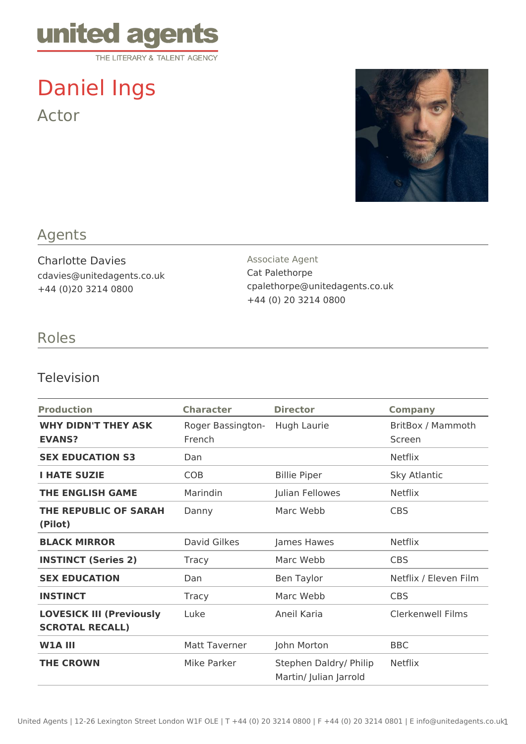

Daniel Ings Actor



## Agents

Charlotte Davies cdavies@unitedagents.co.uk +44 (0)20 3214 0800

Associate Agent Cat Palethorpe cpalethorpe@unitedagents.co.uk +44 (0) 20 3214 0800

#### Roles

#### Television

| <b>Production</b>                                         | <b>Character</b>            | <b>Director</b>                                  | <b>Company</b>              |
|-----------------------------------------------------------|-----------------------------|--------------------------------------------------|-----------------------------|
| <b>WHY DIDN'T THEY ASK</b><br><b>EVANS?</b>               | Roger Bassington-<br>French | Hugh Laurie                                      | BritBox / Mammoth<br>Screen |
| <b>SEX EDUCATION S3</b>                                   | Dan                         |                                                  | <b>Netflix</b>              |
| <b>I HATE SUZIE</b>                                       | <b>COB</b>                  | <b>Billie Piper</b>                              | Sky Atlantic                |
| <b>THE ENGLISH GAME</b>                                   | Marindin                    | Julian Fellowes                                  | <b>Netflix</b>              |
| <b>THE REPUBLIC OF SARAH</b><br>(Pilot)                   | Danny                       | Marc Webb                                        | <b>CBS</b>                  |
| <b>BLACK MIRROR</b>                                       | David Gilkes                | James Hawes                                      | <b>Netflix</b>              |
| <b>INSTINCT (Series 2)</b>                                | <b>Tracy</b>                | Marc Webb                                        | <b>CBS</b>                  |
| <b>SEX EDUCATION</b>                                      | Dan                         | <b>Ben Taylor</b>                                | Netflix / Eleven Film       |
| <b>INSTINCT</b>                                           | <b>Tracy</b>                | Marc Webb                                        | <b>CBS</b>                  |
| <b>LOVESICK III (Previously</b><br><b>SCROTAL RECALL)</b> | Luke                        | Aneil Karia                                      | <b>Clerkenwell Films</b>    |
| <b>W1A III</b>                                            | <b>Matt Taverner</b>        | John Morton                                      | <b>BBC</b>                  |
| <b>THE CROWN</b>                                          | Mike Parker                 | Stephen Daldry/ Philip<br>Martin/ Julian Jarrold | <b>Netflix</b>              |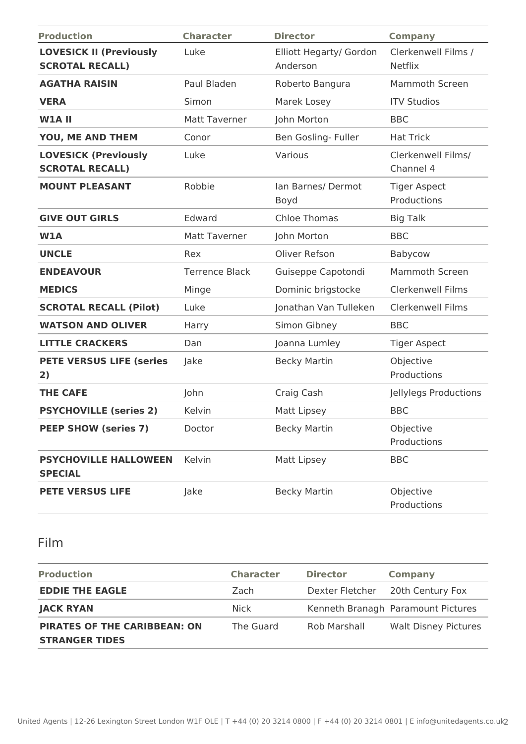| <b>Production</b>                                        | <b>Character</b>      | <b>Director</b>                     | <b>Company</b>                        |
|----------------------------------------------------------|-----------------------|-------------------------------------|---------------------------------------|
| <b>LOVESICK II (Previously</b><br><b>SCROTAL RECALL)</b> | Luke                  | Elliott Hegarty/ Gordon<br>Anderson | Clerkenwell Films /<br><b>Netflix</b> |
| <b>AGATHA RAISIN</b>                                     | Paul Bladen           | Roberto Bangura                     | Mammoth Screen                        |
| <b>VERA</b>                                              | Simon                 | Marek Losey                         | <b>ITV Studios</b>                    |
| <b>W1A II</b>                                            | <b>Matt Taverner</b>  | John Morton                         | <b>BBC</b>                            |
| YOU, ME AND THEM                                         | Conor                 | Ben Gosling- Fuller                 | <b>Hat Trick</b>                      |
| <b>LOVESICK (Previously</b><br><b>SCROTAL RECALL)</b>    | Luke                  | Various                             | Clerkenwell Films/<br>Channel 4       |
| <b>MOUNT PLEASANT</b>                                    | Robbie                | Ian Barnes/ Dermot<br>Boyd          | <b>Tiger Aspect</b><br>Productions    |
| <b>GIVE OUT GIRLS</b>                                    | Edward                | <b>Chloe Thomas</b>                 | <b>Big Talk</b>                       |
| <b>W1A</b>                                               | Matt Taverner         | John Morton                         | <b>BBC</b>                            |
| <b>UNCLE</b>                                             | Rex                   | Oliver Refson                       | Babycow                               |
| <b>ENDEAVOUR</b>                                         | <b>Terrence Black</b> | Guiseppe Capotondi                  | <b>Mammoth Screen</b>                 |
| <b>MEDICS</b>                                            | Minge                 | Dominic brigstocke                  | <b>Clerkenwell Films</b>              |
| <b>SCROTAL RECALL (Pilot)</b>                            | Luke                  | Jonathan Van Tulleken               | <b>Clerkenwell Films</b>              |
| <b>WATSON AND OLIVER</b>                                 | Harry                 | Simon Gibney                        | <b>BBC</b>                            |
| <b>LITTLE CRACKERS</b>                                   | Dan                   | Joanna Lumley                       | <b>Tiger Aspect</b>                   |
| <b>PETE VERSUS LIFE (series</b><br>2)                    | Jake                  | <b>Becky Martin</b>                 | Objective<br>Productions              |
| <b>THE CAFE</b>                                          | John                  | Craig Cash                          | Jellylegs Productions                 |
| <b>PSYCHOVILLE (series 2)</b>                            | Kelvin                | Matt Lipsey                         | <b>BBC</b>                            |
| <b>PEEP SHOW (series 7)</b>                              | Doctor                | <b>Becky Martin</b>                 | Objective<br>Productions              |
| <b>PSYCHOVILLE HALLOWEEN</b><br><b>SPECIAL</b>           | Kelvin                | Matt Lipsey                         | <b>BBC</b>                            |
| <b>PETE VERSUS LIFE</b>                                  | Jake                  | <b>Becky Martin</b>                 | Objective<br>Productions              |

## Film

| <b>Production</b>                                            | <b>Character</b> | <b>Director</b> | <b>Company</b>                     |
|--------------------------------------------------------------|------------------|-----------------|------------------------------------|
| <b>EDDIE THE EAGLE</b>                                       | Zach             | Dexter Fletcher | 20th Century Fox                   |
| <b>JACK RYAN</b>                                             | Nick             |                 | Kenneth Branagh Paramount Pictures |
| <b>PIRATES OF THE CARIBBEAN: ON</b><br><b>STRANGER TIDES</b> | The Guard        | Rob Marshall    | <b>Walt Disney Pictures</b>        |